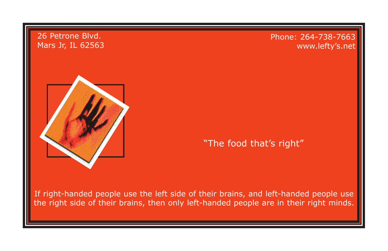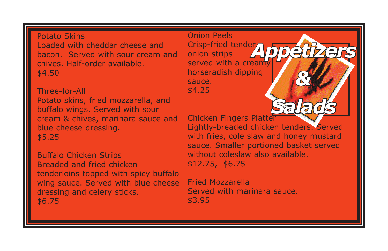## Potato Skins

Loaded with cheddar cheese and bacon. Served with sour cream and chives. Half-order available. \$4.50

Three-for-All Potato skins, fried mozzarella, and buffalo wings. Served with sour cream & chives, marinara sauce and blue cheese dressing. \$5.25

Buffalo Chicken Strips Breaded and fried chicken tenderloins topped with spicy buffalo wing sauce. Served with blue cheese dressing and celery sticks. \$6.75

Onion Peels Crisp-fried tender onion strips served with a creamy horseradish dipping sauce. \$4.25

Chicken Fingers Platter

Lightly-breaded chicken tenders. Served with fries, cole slaw and honey mustard sauce. Smaller portioned basket served without coleslaw also available. \$12.75, \$6.75

*Appetizers*

*&* 

*Salads*

Fried Mozzarella Served with marinara sauce. \$3.95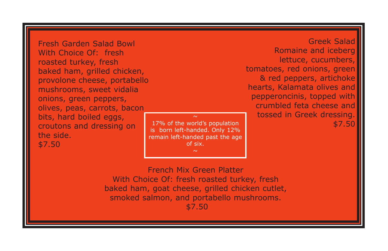Fresh Garden Salad Bowl With Choice Of: fresh roasted turkey, fresh baked ham, grilled chicken, provolone cheese, portabello mushrooms, sweet vidalia onions, green peppers, olives, peas, carrots, bacon bits, hard boiled eggs, croutons and dressing on the side. \$7.50

17% of the world's population is born left-handed. Only 12% remain left-handed past the age of six.

Greek Salad Romaine and iceberg lettuce, cucumbers, tomatoes, red onions, green & red peppers, artichoke hearts, Kalamata olives and pepperoncinis, topped with crumbled feta cheese and tossed in Greek dressing. \$7.50

French Mix Green Platter With Choice Of: fresh roasted turkey, fresh baked ham, goat cheese, grilled chicken cutlet, smoked salmon, and portabello mushrooms.

\$7.50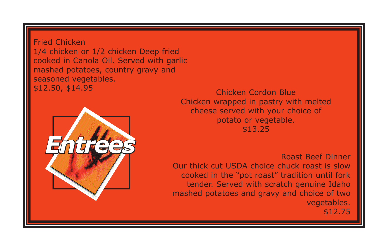Fried Chicken 1/4 chicken or 1/2 chicken Deep fried cooked in Canola Oil. Served with garlic mashed potatoes, country gravy and seasoned vegetables. \$12.50, \$14.95 Chicken Cordon Blue



Chicken wrapped in pastry with melted cheese served with your choice of potato or vegetable. \$13.25

Roast Beef Dinner Our thick cut USDA choice chuck roast is slow cooked in the "pot roast" tradition until fork tender. Served with scratch genuine Idaho mashed potatoes and gravy and choice of two vegetables. \$12.75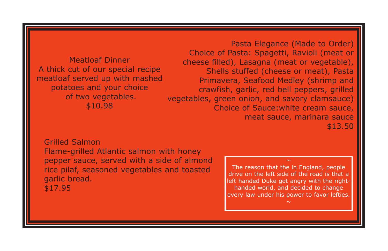Meatloaf Dinner A thick cut of our special recipe meatloaf served up with mashed potatoes and your choice of two vegetables. \$10.98

Pasta Elegance (Made to Order) Choice of Pasta: Spagetti, Ravioli (meat or cheese filled), Lasagna (meat or vegetable), Shells stuffed (cheese or meat), Pasta Primavera, Seafood Medley (shrimp and crawfish, garlic, red bell peppers, grilled vegetables, green onion, and savory clamsauce) Choice of Sauce:white cream sauce, meat sauce, marinara sauce \$13.50

## Grilled Salmon

Flame-grilled Atlantic salmon with honey pepper sauce, served with a side of almond rice pilaf, seasoned vegetables and toasted garlic bread. \$17.95

The reason that the in England, people drive on the left side of the road is that a left handed Duke got angry with the righthanded world, and decided to change every law under his power to favor lefties.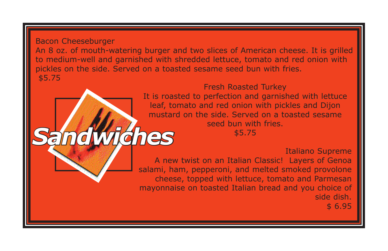Bacon Cheeseburger An 8 oz. of mouth-watering burger and two slices of American cheese. It is grilled to medium-well and garnished with shredded lettuce, tomato and red onion with pickles on the side. Served on a toasted sesame seed bun with fries. \$5.75

*Sandwiches*

Fresh Roasted Turkey It is roasted to perfection and garnished with lettuce leaf, tomato and red onion with pickles and Dijon mustard on the side. Served on a toasted sesame seed bun with fries.

\$5.75

Italiano Supreme

A new twist on an Italian Classic! Layers of Genoa salami, ham, pepperoni, and melted smoked provolone cheese, topped with lettuce, tomato and Parmesan mayonnaise on toasted Italian bread and you choice of side dish. \$ 6.95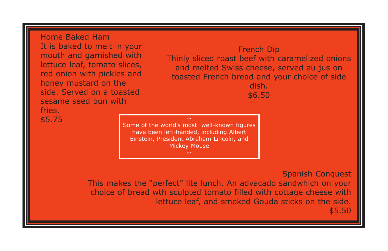Home Baked Ham It is baked to melt in your mouth and garnished with lettuce leaf, tomato slices, red onion with pickles and honey mustard on the side. Served on a toasted sesame seed bun with fries.

French Dip Thinly sliced roast beef with caramelized onions and melted Swiss cheese, served au jus on toasted French bread and your choice of side dish. \$6.50

\$5.75 ~ Some of the world's most well-known figures have been left-handed, including Albert Einstein, President Abraham Lincoln, and Mickey Mouse

> Spanish Conquest This makes the "perfect" lite lunch. An advacado sandwhich on your choice of bread wth sculpted tomato filled with cottage cheese with lettuce leaf, and smoked Gouda sticks on the side. \$5.50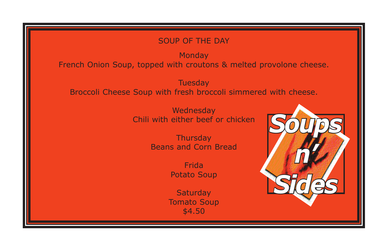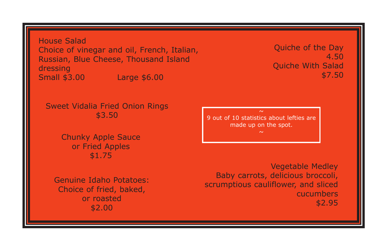House Salad Choice of vinegar and oil, French, Italian, Russian, Blue Cheese, Thousand Island dressing Small \$3.00 Large \$6.00

Quiche of the Day 4.50 Quiche With Salad \$7.50

Sweet Vidalia Fried Onion Rings \$3.50

> Chunky Apple Sauce or Fried Apples \$1.75

Genuine Idaho Potatoes: Choice of fried, baked, or roasted \$2.00

9 out of 10 statistics about lefties are made up on the spot.

Vegetable Medley Baby carrots, delicious broccoli, scrumptious cauliflower, and sliced cucumbers \$2.95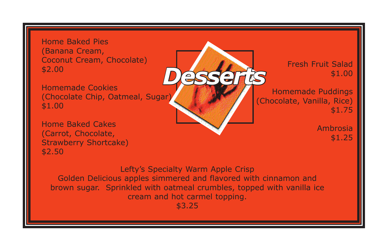Home Baked Pies (Banana Cream, Coconut Cream, Chocolate) \$2.00

*Desserts* Homemade Cookies (Chocolate Chip, Oatmeal, Sugar) \$1.00

Home Baked Cakes (Carrot, Chocolate, Strawberry Shortcake) \$2.50

Fresh Fruit Salad \$1.00

Homemade Puddings (Chocolate, Vanilla, Rice) \$1.75

> Ambrosia \$1.25

Lefty's Specialty Warm Apple Crisp Golden Delicious apples simmered and flavored with cinnamon and brown sugar. Sprinkled with oatmeal crumbles, topped with vanilla ice cream and hot carmel topping.

\$3.25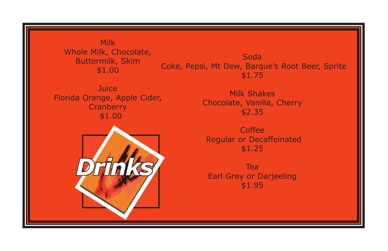Milk Whole Milk, Chocolate, Buttermilk, Skim \$1.00

**Juice** Florida Orange, Apple Cider, **Cranberry** \$1.00



\$1.75 Milk Shakes

Soda Coke, Pepsi, Mt Dew, Barque's Root Beer, Sprite

> Chocolate, Vanilla, Cherry \$2.35

**Coffee**  Regular or Decaffeinated \$1.25

Tea Earl Grey or Darjeeling \$1.95